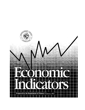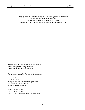*The purpose of this report is to keep policy makers apprised of changes in the national and local economies that the Montgomery County Department of Finance believes may impact current and/or future revenues and expenditures.*

*This report is also available through the Internet on the Montgomery County Web Page: http://www.montgomerycountymd.gov*

*For questions regarding this report, please contact:*

*David Platt Chief Economist Montgomery County Department of Finance 255 Rockville Pike, Suite L-15 Rockville, Maryland 20850*

*Phone:(240) 777-8866 Fax: (240) 777-8954 Email: David.Platt@montgomerycountymd.gov*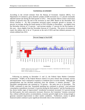# **NATIONAL ECONOMY**

According to the revised estimate from the Bureau of Economic Analysis (BEA), U.S. Department of Commerce, gross domestic product (GDP) increased at a 3.1 percent seasonally adjusted annual rate during the third quarter of 2012. That increase follows twelve consecutive quarters of growth since the end of the recession in June 2009. Based on the December *WSJ* survey (January  $4 - 8$ ), fifty economists surveyed expect economic growth to increase 1.6 percent, on average, during the fourth quarter of 2012 (October to December) – up slightly from the December forecast of 1.3 percent – and increase another 1.7 percent for the first quarter of this year – down slightly from the November forecast of 1.9 percent. The survey of economists expect the jobless rate to be at 7.0 percent at the end of 2014 and that inflation pressures will remain subdued into 2014.



Following its meeting on December 11 and 12, the Federal Open Market Committee (Committee - FOMC) of the Federal Reserve stated in its press release that economic activity and employment "have continued to expand at a moderate pace in recent months. Although the unemployment rate has declined somewhat since the summer, it remains elevated." The December unemployment rate remained at 7.8 percent – the same rate as in November. The FOMC continued to state that "household spending has continued to advance" (real personal consumption expenditures increased 1.6 percent during the third quarter) "and the housing sector has shown further signs of improvement" (residential investment increased 13.5 percent during the third quarter, the sixth consecutive increase). However, the Committee "remains concerned that, without sufficient policy accommodation, economic growth might not be strong enough to generate sustained improvement in labor market conditions. Furthermore, strains in global financial market continue to pose significant downside risks to the economic outlook."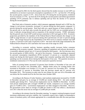Data released by BEA for the third quarter showed that the modest increase in real GDP was attributed to an increase in personal consumption expenditures (↑1.6% - up from the 1.5% during the second quarter, exports (↑1.9% - down from the 5.3% during the second quarter), residential fixed investment (↑13.5% - up from the 8.5% during the second quarter) and federal government spending ( $\uparrow$ 9.5% primarily due to defense spending and up from the decline of 0.2 percent during the second quarter).

Real final sales of domestic product, which measures aggregate demand and is GDP less the change in real private inventories, increased 5.2 percent during the third quarter compared 3.3 percent during the second quarter. Real final sales are a good measure of future production. If the growth rate in real final sales exceeds the growth rate for GDP over an extended period of time, it indicates strong demand and an expansion of the national economy. FOMC anticipates that the growth rate of real GDP would increase somewhat in 2013 and again in 2014. Economic projections provided by the members of the Federal Reserve Board estimates the change in real GDP to range between 2.3 and 3.0 percent during 2013 and between 3.0 and 3.5 percent during 2014. The average forecast by the respondents to the WSJ survey in January estimate real GDP to grow 2.3 percent in 2013 and 2.9 percent in 2014 – the lower end of the range estimated by the Federal Reserve Board for 2013 and below the lower end of the range for 2014.

According to economic analysts, business spending usually increases before consumer spending as the economy expands. However, spending on equipment and software decreased at a seasonally adjusted annual rate of 2.6 percent during the third quarter – the first decrease since the second quarter of  $2009$  ( $\downarrow 8.6\%$ ) – the end of the recession. Consumer spending as measured by personal consumption expenditures (PCE) increased 1.6 percent at a seasonally adjusted annual rate during the third quarter which suggests that consumer spending rather than business spending was the economic driver during the third quarter of last year. The quarterly increase in residential construction (↑13.5%) was the sixth consecutive quarterly increase.

Sales of existing homes increased 5.9 percent from October to November of last year and increased 14.5 percent over November 2011. Median home prices for existing homes also increased in November over October (↑2.1%) and 10.1 percent over November 2011. Average prices increased 2.2 percent in November from the previous month and 9.1 percent over November 2011. The inventory-to-sales ratio for new homes for sale was 4.8 in November and was below the five-month level for the first time since October 2005.

According to the Bureau of Labor Statistics, total nonfarm employment increased by 155,000 in December and grew by an average of 153,000 per month during 2012 – the same average monthly gain during 2011. Total private employment rose by 168,000 in December. In 2012, total private employment jobs averaged 159,000 per month, compared to an average monthly gain of 175,000 in 2011. Government employment was little changed in December. However, the government sector shed an average of 6,000 per month in 2012 but reflects a deceleration over 2011 when the sector lost an average of 22,000 jobs per month.

According to the minutes from the December meeting, "to support continued progress toward maximum employment and price stability, the Committee expects that a highly accommodative stance of monetary policy will remain appropriate for a considerable time after the asset purchase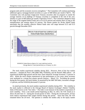program ends and the economic recovery strengthens." The Committee will continue purchasing additional agency mortgage-backed securities at a pace of \$40 billion per month ("QE3"). The Committee also will purchase longer-term Treasury securities after its program to extend the average maturity of its holdings of Treasury securities is completed at the end of the year, initially at a pace of \$45 billion per month ("Operation Twist"). The Committee adopted to keep the range of the targeted federal funds rate at 0 to 0.25 percent and remains there as long as the unemployment rate remains above 6.5 percent. The futures market for 30-day federal funds anticipates that the monthly effective federal funds rates will range between 0.13 and 0.15 percent through December 2013.



The stock market experienced volatility during 2012. However, three of the four market indicators – Standard & Poor's 500 (S&P 500), NASDAQ, and the Russell 2000 indices – all experienced double-digit growth and the Dow Jones Industrial Average increased 7.3 percent in 2012. While the stock market experienced its best performance in two years, those increases were attributed to a strong first quarter growth (January – March '12). Excluding the growth during the first quarter, the stock market, as measured by the S&P 500 Index, increased a meager 1.3 percent, and the NASDAQ decreased 2.3 percent.

As stated previously, the stock markets experienced volatility during 2012. The volatility in the stock market is reflected in the Chicago Board of Options Exchange's Market Volatility Index (VIX) known as the "fear index." The index is one measure of the market's expectation of stock volatility. Over a one month period beginning on May 14, 2012, the VIX closed at or above 20 until June 15 – during the second quarter of 2012. During the second quarter, all four stock indices experienced their largest decline during that period. Since that time, the VIX remained below the 20 level. The question is whether the modest rally in the equity market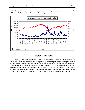during the fourth quarter of last year led to lower risk taking by investors as measured by the VIX or has the lower VIX led to a rally in the equity market.



#### **REGIONAL ECONOMY**

According to the employment data from the Bureau of Labor Statistics, U.S. Department of Labor, the Washington area economy is experiencing the same pattern that is being reflected in national trends, although not as vulnerable to the effects of the recent national recession. Compared to the national unemployment rate at 8.1 percent in 2012 (not seasonally adjusted), the estimated region's unemployment rate was 5.4 percent (not seasonally adjusted). Over the past ten years, the changes in the region's unemployment rate have followed the same pattern as the national average albeit with a greater percentage point spread beginning calendar year 2009.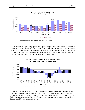

The decline in payroll employment on a year-over-year basis, that started in earnest in December 2008 and continued through March of 2010, has improved dramatically over the past two and a half years ending in November of last year. Total payroll employment stood at nearly 3.1 million (not seasonally adjusted) in November – up slightly from the 3.0 million in November 2011 – an increase of 34,300 jobs and 67,500 since March 2010.



Payroll employment for the Bethesda-Rockville-Frederick (BRF) metropolitan division also experienced growth between November 2011 and November of last year. Total payroll employment stood at 578,300 in November – up from November 2011 (↑31,100). However, during that twelve-month period, payroll employment experienced year-over-year declines in December of 2011 and January of last year.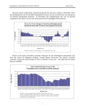Because payroll employment experienced growth the past year ending in November 2012, the unemployment rate for the BRF metropolitan division was the second lowest rate among the 34 national metropolitan divisions. In November, the unemployment rate was 4.8 percent compared to the nation's lowest rate 4.6 percent for the Framingham (MA) division.



Based on the latest coincident economic indicators for the Washington metropolitan area from the Center for Regional Analysis, George Mason University, the region's economy increased 3.9 percent from October of 2011 to October of last year – the latest date for which data are available.

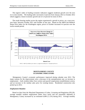The region's index of leading economic indicators suggests moderate growth over the next six to nine months. The leading index increased 2.4 percent from January 2012 to October 2012 which suggests a future economic growth rate of 2.4 percent for most of 2013.

The resale housing market across the region experienced a growth in prices, on a year-overyear basis, between October 2011 and October of last year. Based on the S&P/Case-Shiller® Home Price Index for the Washington region, prices in October increased 4.4 percent over the twelve-month period.



# **MONTGOMERY COUNTY ECONOMIC INDICATORS**

Montgomery County's economic performance improved during calendar year 2012. The major reasons for the improvement were a decrease in the unemployment rate, an increase in employment – both resident (labor force series) and payroll employment (establishment series), and an increase in the median sales price for existing homes. Residential construction also picked up in 2012.

## *Employment Situation*

Based on data from the Maryland Department of Labor, Licensing and Regulation (DLLR), average monthly resident employment (labor force series and not seasonally adjusted) in Montgomery County increased by an estimated 6,000 ( $\uparrow$ 1.2%) during 2012. Average monthly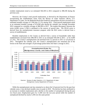resident employment stood at an estimated 504,100 in 2012 compared to 498,100 during the previous year.

However, the County's total payroll employment, as derived by the Department of Finance incorporating the establishment series from the Bureau of Labor Statistics (BLS), U.S. Department of Labor, for the Bethesda-Rockville-Frederick metropolitan division increased by a estimated monthly average of 5,700 jobs (↑1.2%) during 2012. Total payroll employment stood at an estimated monthly average of 474,200 jobs during the calendar year through November 2012 compared to a monthly average of 468,500 in 2011. The modest discrepancy between the series (6,000 versus 5,700) is attributed to the sources of payroll data. The DLLR series is derived from the unemployment insurance program while the BLS series is derived from a survey of establishments.

Resident employment in the County as derived from a survey of households rather than establishments increased from  $498,100$  in  $2011$  to an estimated  $504,100$  in  $2012 -$  or by 6,000 (↑1.2%). The County's unemployment rate declined from 5.2 percent in 2011 to 5.0 percent in 2012. Throughout the calendar year, the County's unemployment rate remained one of the lowest in the State and averaged 1.8 percentage points below the State's average in 2012.



While the unemployment rate has remained at or above the 5.0 percent level for the past four calendar years, it has declined steadily since its peak in 2010. The decline has been attributed to an increase in resident employment and a decline in the number of unemployed during the past two fiscal years. Employment grew by 11,500 over the two-year period while the number of unemployed declined by nearly 5,100 over the same period.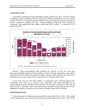## *Construction Activity*

Construction experienced strong performance during calendar year 2012. The total number of building permits (residential units and commercial permits) increased 45.9 percent and the number of total new construction starts (residential units and commercial projects) increased 6.5 percent compared to calendar year 2011. Strong residential construction starts attributed to multifamily and single-family units added a total value \$529.3 million − an increase of 21.9 percent over 2011.



However, while non-residential starts increased 45.7 percent in 2012, the total value decreased from \$904.2 million to \$761.6 million (↓15.8%). Overall, construction starts added a total value of \$1.291 billion to the property tax base. Because of the decline in the value of nonresidential starts, the total value of new construction was 3.6 percent below 2011.

At the same time that the total number of construction starts increased during 2012, construction costs were up 3.5 percent. The construction cost index developed by the *Engineering News Record* (ENR) for the Baltimore area increased 5.2 percent in 2010 and 2.9 percent in 2011. Therefore, while construction activity increased in 2012, that increase was also supported by inflation in construction costs thereby yielding a value of \$1.291 billion.

## *Residential Real Estate*

Total construction of residential units increased 4.6 percent from 2011 to 2012. The number of new single-family units increased 39.2 percent from 650 single-family units in 2011 to 905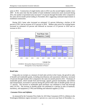units in 2012. Construction of single-family units in 2012 was the second highest number since 2007. At the same time that the number of total residential construction starts increased during 2012, the number of permitted units increased 71.9 percent through November 2012 compared to the same eleven-month period ending in November 2011 suggesting continued improvement in residential construction.

During 2012, home sales increased an estimated 3.3 percent following a decline of 8.8 percent in 2011 and an increase of 0.2 percent in 2010. Median sales prices for existing homes increased an estimated 4.9 percent and followed an increase of 2.9 percent in 2010 and no increase in 2011.



## *Retail Sales*

Using sales tax receipts as a measure of retail sales activity in the County, the growth in sales of durable and nondurable goods, excluding miscellaneous and assessment collections, increased 2.9 percent through October 2012 compared to the same ten-month period in 2011. Purchases of nondurable goods, which include food and beverage, apparel, general merchandise, and utilities and transportation, increased 6.5 percent during this period while sales of durable goods were up 1.7 percent. The increase in nondurable good purchases was attributed to food and beverage sales ( $\uparrow$ 6.3%). The increase in durable goods was attributed to a decline in sales of hardware, machinery, and equipment ( $\uparrow$ 7.8%) and building and industrial supplies ( $\uparrow$ 2.5%).

#### *Consumer Prices and Inflation*

As measured by the Consumer Price Index for All Urban Consumers (CPI-U), inflation in the Washington-Baltimore region increased 2.1 percent on a year-over-year basis in November, i.e.,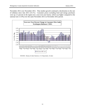November 2012 over November 2011. That modest growth continued a deceleration in the rate of inflation since July 2011 (↑4.1%). Consumer prices excluding food and energy purchases were up 2.3 percent in the region (on a year-over-year basis), which was higher compared to the national rate (↑1.9%) over the same November 2011-to-November 2012 period.

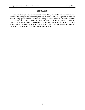## **CONCLUSION**

While the County's economy improved during 2012, the results are somewhat mixed. Although the average monthly unemployment rate declined in 2012 to 5.0 percent, it remained elevated. Employment measured either by the survey of establishments or households increased in 2012 but not at rates to drive the unemployment rate below 5 percent. Residential construction improved with the construction of single-family homes up 56.8 percent. Sales of existing homes increased but remained below 10,000 units for the second year in a row and median prices rebounded in 2012 after remaining flat in 2011.